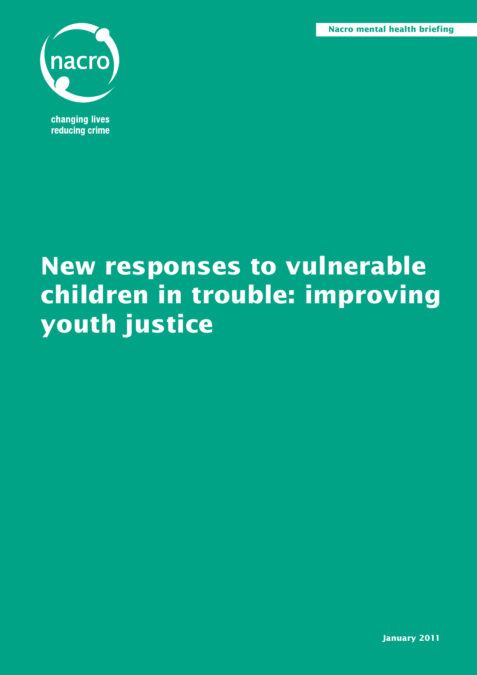**Nacro mental health briefing**

**Nacro mental health briefing 1**



**changing lives** reducing crime

# **New responses to vulnerable children in trouble: improving youth justice**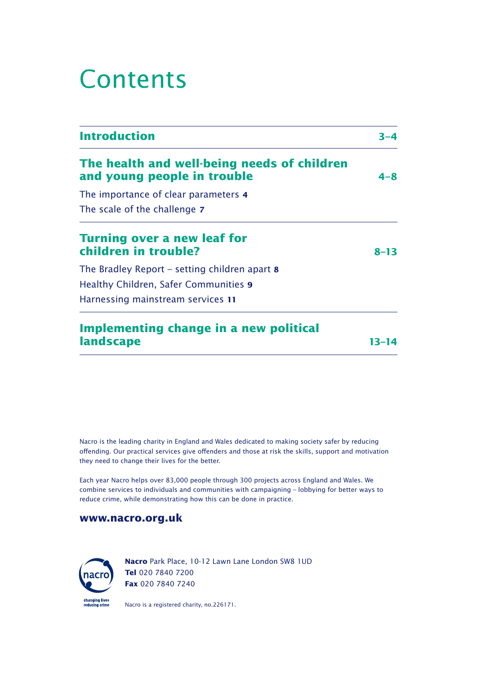## Contents

| <b>Introduction</b>                                                        | $3 - 4$   |
|----------------------------------------------------------------------------|-----------|
| The health and well-being needs of children<br>and young people in trouble | $4 - 8$   |
| The importance of clear parameters 4                                       |           |
| The scale of the challenge 7                                               |           |
| Turning over a new leaf for<br>children in trouble?                        | $8 - 13$  |
| The Bradley Report – setting children apart 8                              |           |
| Healthy Children, Safer Communities 9                                      |           |
| Harnessing mainstream services 11                                          |           |
| Implementing change in a new political                                     |           |
| <b>landscape</b>                                                           | $13 - 14$ |

Nacro is the leading charity in England and Wales dedicated to making society safer by reducing offending. Our practical services give offenders and those at risk the skills, support and motivation they need to change their lives for the better.

Each year Nacro helps over 83,000 people through 300 projects across England and Wales. We combine services to individuals and communities with campaigning – lobbying for better ways to reduce crime, while demonstrating how this can be done in practice.

#### **www.nacro.org.uk**



**Nacro** Park Place, 10-12 Lawn Lane London SW8 1UD **Tel** 020 7840 7200 **Fax** 020 7840 7240

Nacro is a registered charity, no.226171.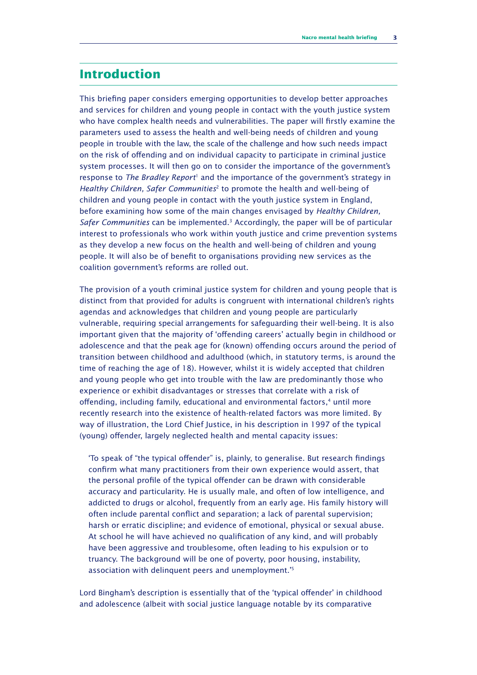### **Introduction**

This briefing paper considers emerging opportunities to develop better approaches and services for children and young people in contact with the youth justice system who have complex health needs and vulnerabilities. The paper will firstly examine the parameters used to assess the health and well-being needs of children and young people in trouble with the law, the scale of the challenge and how such needs impact on the risk of offending and on individual capacity to participate in criminal justice system processes. It will then go on to consider the importance of the government's response to *The Bradley Report*<sup>1</sup> and the importance of the government's strategy in *Healthy Children, Safer Communities*<sup>2</sup> to promote the health and well-being of children and young people in contact with the youth justice system in England, before examining how some of the main changes envisaged by *Healthy Children,*  Safer Communities can be implemented.<sup>3</sup> Accordingly, the paper will be of particular interest to professionals who work within youth justice and crime prevention systems as they develop a new focus on the health and well-being of children and young people. It will also be of benefit to organisations providing new services as the coalition government's reforms are rolled out.

The provision of a youth criminal justice system for children and young people that is distinct from that provided for adults is congruent with international children's rights agendas and acknowledges that children and young people are particularly vulnerable, requiring special arrangements for safeguarding their well-being. It is also important given that the majority of 'offending careers' actually begin in childhood or adolescence and that the peak age for (known) offending occurs around the period of transition between childhood and adulthood (which, in statutory terms, is around the time of reaching the age of 18). However, whilst it is widely accepted that children and young people who get into trouble with the law are predominantly those who experience or exhibit disadvantages or stresses that correlate with a risk of offending, including family, educational and environmental factors,<sup>4</sup> until more recently research into the existence of health-related factors was more limited. By way of illustration, the Lord Chief Justice, in his description in 1997 of the typical (young) offender, largely neglected health and mental capacity issues:

'To speak of "the typical offender" is, plainly, to generalise. But research findings confirm what many practitioners from their own experience would assert, that the personal profile of the typical offender can be drawn with considerable accuracy and particularity. He is usually male, and often of low intelligence, and addicted to drugs or alcohol, frequently from an early age. His family history will often include parental conflict and separation; a lack of parental supervision; harsh or erratic discipline; and evidence of emotional, physical or sexual abuse. At school he will have achieved no qualification of any kind, and will probably have been aggressive and troublesome, often leading to his expulsion or to truancy. The background will be one of poverty, poor housing, instability, association with delinquent peers and unemployment.'<sup>5</sup>

Lord Bingham's description is essentially that of the 'typical offender' in childhood and adolescence (albeit with social justice language notable by its comparative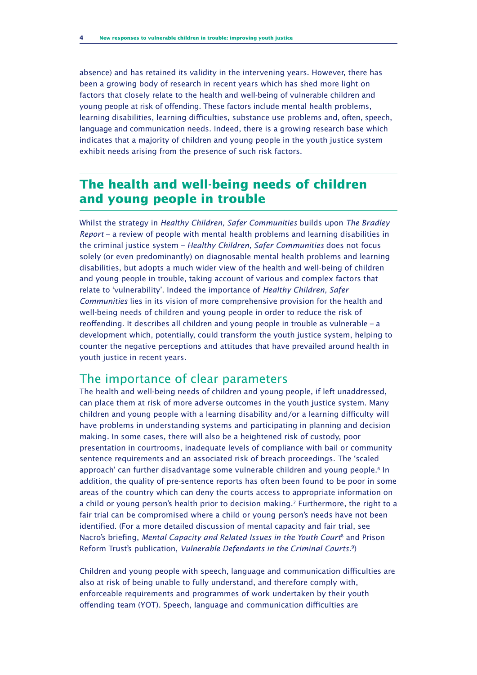absence) and has retained its validity in the intervening years. However, there has been a growing body of research in recent years which has shed more light on factors that closely relate to the health and well-being of vulnerable children and young people at risk of offending. These factors include mental health problems, learning disabilities, learning difficulties, substance use problems and, often, speech, language and communication needs. Indeed, there is a growing research base which indicates that a majority of children and young people in the youth justice system exhibit needs arising from the presence of such risk factors.

## **The health and well-being needs of children and young people in trouble**

Whilst the strategy in *Healthy Children, Safer Communities* builds upon *The Bradley Report* – a review of people with mental health problems and learning disabilities in the criminal justice system – *Healthy Children, Safer Communities* does not focus solely (or even predominantly) on diagnosable mental health problems and learning disabilities, but adopts a much wider view of the health and well-being of children and young people in trouble, taking account of various and complex factors that relate to 'vulnerability'. Indeed the importance of *Healthy Children, Safer Communities* lies in its vision of more comprehensive provision for the health and well-being needs of children and young people in order to reduce the risk of reoffending. It describes all children and young people in trouble as vulnerable – a development which, potentially, could transform the youth justice system, helping to counter the negative perceptions and attitudes that have prevailed around health in youth justice in recent years.

### The importance of clear parameters

The health and well-being needs of children and young people, if left unaddressed, can place them at risk of more adverse outcomes in the youth justice system. Many children and young people with a learning disability and/or a learning difficulty will have problems in understanding systems and participating in planning and decision making. In some cases, there will also be a heightened risk of custody, poor presentation in courtrooms, inadequate levels of compliance with bail or community sentence requirements and an associated risk of breach proceedings. The 'scaled approach' can further disadvantage some vulnerable children and young people.<sup>6</sup> In addition, the quality of pre-sentence reports has often been found to be poor in some areas of the country which can deny the courts access to appropriate information on a child or young person's health prior to decision making.<sup>7</sup> Furthermore, the right to a fair trial can be compromised where a child or young person's needs have not been identified. (For a more detailed discussion of mental capacity and fair trial, see Nacro's briefing, *Mental Capacity and Related Issues in the Youth Court*<sup>8</sup> and Prison Reform Trust's publication, *Vulnerable Defendants in the Criminal Courts.*<sup>9</sup> )

Children and young people with speech, language and communication difficulties are also at risk of being unable to fully understand, and therefore comply with, enforceable requirements and programmes of work undertaken by their youth offending team (YOT). Speech, language and communication difficulties are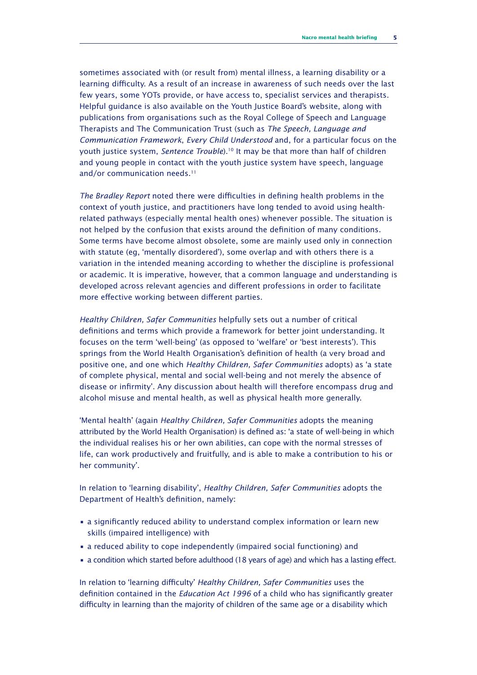sometimes associated with (or result from) mental illness, a learning disability or a learning difficulty. As a result of an increase in awareness of such needs over the last few years, some YOTs provide, or have access to, specialist services and therapists. Helpful guidance is also available on the Youth Justice Board's website, along with publications from organisations such as the Royal College of Speech and Language Therapists and The Communication Trust (such as *The Speech, Language and Communication Framework*, *Every Child Understood* and, for a particular focus on the youth justice system, *Sentence Trouble*).<sup>10</sup> It may be that more than half of children and young people in contact with the youth justice system have speech, language and/or communication needs.<sup>11</sup>

*The Bradley Report* noted there were difficulties in defining health problems in the context of youth justice, and practitioners have long tended to avoid using healthrelated pathways (especially mental health ones) whenever possible. The situation is not helped by the confusion that exists around the definition of many conditions. Some terms have become almost obsolete, some are mainly used only in connection with statute (eg, 'mentally disordered'), some overlap and with others there is a variation in the intended meaning according to whether the discipline is professional or academic. It is imperative, however, that a common language and understanding is developed across relevant agencies and different professions in order to facilitate more effective working between different parties.

*Healthy Children, Safer Communities* helpfully sets out a number of critical definitions and terms which provide a framework for better joint understanding. It focuses on the term 'well-being' (as opposed to 'welfare' or 'best interests'). This springs from the World Health Organisation's definition of health (a very broad and positive one, and one which *Healthy Children, Safer Communities* adopts) as 'a state of complete physical, mental and social well-being and not merely the absence of disease or infirmity'. Any discussion about health will therefore encompass drug and alcohol misuse and mental health, as well as physical health more generally.

'Mental health' (again *Healthy Children, Safer Communities* adopts the meaning attributed by the World Health Organisation) is defined as: 'a state of well-being in which the individual realises his or her own abilities, can cope with the normal stresses of life, can work productively and fruitfully, and is able to make a contribution to his or her community'.

In relation to 'learning disability', *Healthy Children, Safer Communities* adopts the Department of Health's definition, namely:

- a significantly reduced ability to understand complex information or learn new skills (impaired intelligence) with
- a reduced ability to cope independently (impaired social functioning) and
- a condition which started before adulthood (18 years of age) and which has a lasting effect.

In relation to 'learning difficulty' *Healthy Children, Safer Communities* uses the definition contained in the *Education Act 1996* of a child who has significantly greater difficulty in learning than the majority of children of the same age or a disability which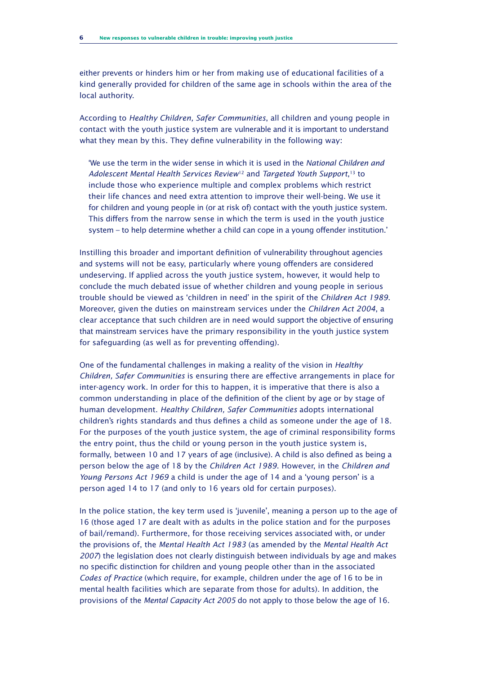either prevents or hinders him or her from making use of educational facilities of a kind generally provided for children of the same age in schools within the area of the local authority.

According to *Healthy Children, Safer Communities*, all children and young people in contact with the youth justice system are vulnerable and it is important to understand what they mean by this. They define vulnerability in the following way:

'We use the term in the wider sense in which it is used in the *National Children and Adolescent Mental Health Services Review*<sup>12</sup> and *Targeted Youth Support*, <sup>13</sup> to include those who experience multiple and complex problems which restrict their life chances and need extra attention to improve their well-being. We use it for children and young people in (or at risk of) contact with the youth justice system. This differs from the narrow sense in which the term is used in the youth justice system – to help determine whether a child can cope in a young offender institution.'

Instilling this broader and important definition of vulnerability throughout agencies and systems will not be easy, particularly where young offenders are considered undeserving. If applied across the youth justice system, however, it would help to conclude the much debated issue of whether children and young people in serious trouble should be viewed as 'children in need' in the spirit of the *Children Act 1989*. Moreover, given the duties on mainstream services under the *Children Act 2004*, a clear acceptance that such children are in need would support the objective of ensuring that mainstream services have the primary responsibility in the youth justice system for safeguarding (as well as for preventing offending).

One of the fundamental challenges in making a reality of the vision in *Healthy Children, Safer Communities* is ensuring there are effective arrangements in place for inter-agency work. In order for this to happen, it is imperative that there is also a common understanding in place of the definition of the client by age or by stage of human development. *Healthy Children, Safer Communities* adopts international children's rights standards and thus defines a child as someone under the age of 18. For the purposes of the youth justice system, the age of criminal responsibility forms the entry point, thus the child or young person in the youth justice system is, formally, between 10 and 17 years of age (inclusive). A child is also defined as being a person below the age of 18 by the *Children Act 1989*. However, in the *Children and Young Persons Act 1969* a child is under the age of 14 and a 'young person' is a person aged 14 to 17 (and only to 16 years old for certain purposes).

In the police station, the key term used is 'juvenile', meaning a person up to the age of 16 (those aged 17 are dealt with as adults in the police station and for the purposes of bail/remand). Furthermore, for those receiving services associated with, or under the provisions of, the *Mental Health Act 1983* (as amended by the *Mental Health Act 2007*) the legislation does not clearly distinguish between individuals by age and makes no specific distinction for children and young people other than in the associated *Codes of Practice* (which require, for example, children under the age of 16 to be in mental health facilities which are separate from those for adults). In addition, the provisions of the *Mental Capacity Act 2005* do not apply to those below the age of 16.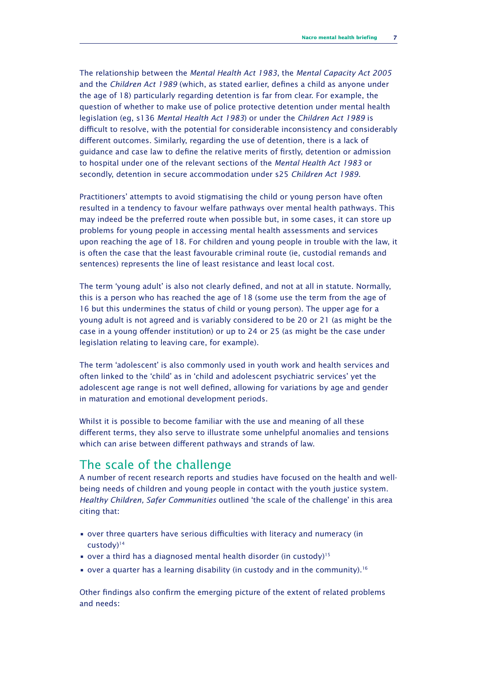The relationship between the *Mental Health Act 1983*, the *Mental Capacity Act 2005* and the *Children Act 1989* (which, as stated earlier, defines a child as anyone under the age of 18) particularly regarding detention is far from clear. For example, the question of whether to make use of police protective detention under mental health legislation (eg, s136 *Mental Health Act 1983*) or under the *Children Act 1989* is difficult to resolve, with the potential for considerable inconsistency and considerably different outcomes. Similarly, regarding the use of detention, there is a lack of guidance and case law to define the relative merits of firstly, detention or admission to hospital under one of the relevant sections of the *Mental Health Act 1983* or secondly, detention in secure accommodation under s25 *Children Act 1989*.

Practitioners' attempts to avoid stigmatising the child or young person have often resulted in a tendency to favour welfare pathways over mental health pathways. This may indeed be the preferred route when possible but, in some cases, it can store up problems for young people in accessing mental health assessments and services upon reaching the age of 18. For children and young people in trouble with the law, it is often the case that the least favourable criminal route (ie, custodial remands and sentences) represents the line of least resistance and least local cost.

The term 'young adult' is also not clearly defined, and not at all in statute. Normally, this is a person who has reached the age of 18 (some use the term from the age of 16 but this undermines the status of child or young person). The upper age for a young adult is not agreed and is variably considered to be 20 or 21 (as might be the case in a young offender institution) or up to 24 or 25 (as might be the case under legislation relating to leaving care, for example).

The term 'adolescent' is also commonly used in youth work and health services and often linked to the 'child' as in 'child and adolescent psychiatric services' yet the adolescent age range is not well defined, allowing for variations by age and gender in maturation and emotional development periods.

Whilst it is possible to become familiar with the use and meaning of all these different terms, they also serve to illustrate some unhelpful anomalies and tensions which can arise between different pathways and strands of law.

#### The scale of the challenge

A number of recent research reports and studies have focused on the health and wellbeing needs of children and young people in contact with the youth justice system. *Healthy Children, Safer Communities* outlined 'the scale of the challenge' in this area citing that:

- over three quarters have serious difficulties with literacy and numeracy (in custody)<sup>14</sup>
- over a third has a diagnosed mental health disorder (in custody)<sup>15</sup>
- over a quarter has a learning disability (in custody and in the community).<sup>16</sup>

Other findings also confirm the emerging picture of the extent of related problems and needs: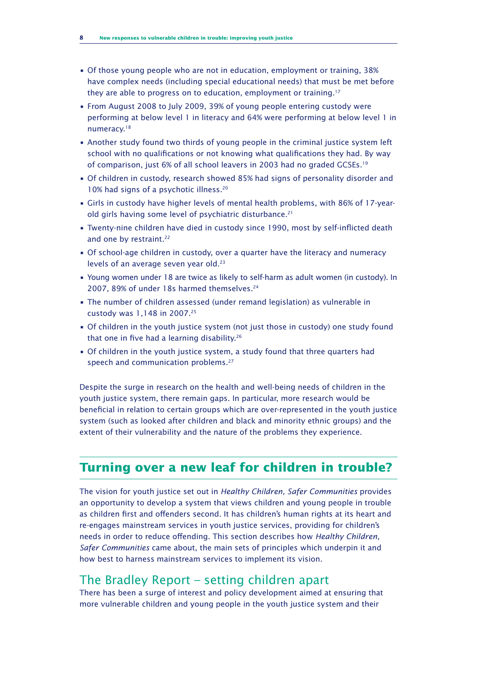- Of those young people who are not in education, employment or training, 38% have complex needs (including special educational needs) that must be met before they are able to progress on to education, employment or training.<sup>17</sup>
- From August 2008 to July 2009, 39% of young people entering custody were performing at below level 1 in literacy and 64% were performing at below level 1 in numeracy.<sup>18</sup>
- Another study found two thirds of young people in the criminal justice system left school with no qualifications or not knowing what qualifications they had. By way of comparison, just 6% of all school leavers in 2003 had no graded GCSEs.<sup>19</sup>
- Of children in custody, research showed 85% had signs of personality disorder and 10% had signs of a psychotic illness.<sup>20</sup>
- Girls in custody have higher levels of mental health problems, with 86% of 17-yearold girls having some level of psychiatric disturbance.<sup>21</sup>
- Twenty-nine children have died in custody since 1990, most by self-inflicted death and one by restraint.<sup>22</sup>
- Of school-age children in custody, over a quarter have the literacy and numeracy levels of an average seven year old.<sup>23</sup>
- Young women under 18 are twice as likely to self-harm as adult women (in custody). In 2007, 89% of under 18s harmed themselves.<sup>24</sup>
- The number of children assessed (under remand legislation) as vulnerable in custody was 1,148 in 2007.<sup>25</sup>
- Of children in the youth justice system (not just those in custody) one study found that one in five had a learning disability.<sup>26</sup>
- Of children in the youth justice system, a study found that three quarters had speech and communication problems.<sup>27</sup>

Despite the surge in research on the health and well-being needs of children in the youth justice system, there remain gaps. In particular, more research would be beneficial in relation to certain groups which are over-represented in the youth justice system (such as looked after children and black and minority ethnic groups) and the extent of their vulnerability and the nature of the problems they experience.

## **Turning over a new leaf for children in trouble?**

The vision for youth justice set out in *Healthy Children, Safer Communities* provides an opportunity to develop a system that views children and young people in trouble as children first and offenders second. It has children's human rights at its heart and re-engages mainstream services in youth justice services, providing for children's needs in order to reduce offending. This section describes how *Healthy Children, Safer Communities* came about, the main sets of principles which underpin it and how best to harness mainstream services to implement its vision.

## The Bradley Report – setting children apart

There has been a surge of interest and policy development aimed at ensuring that more vulnerable children and young people in the youth justice system and their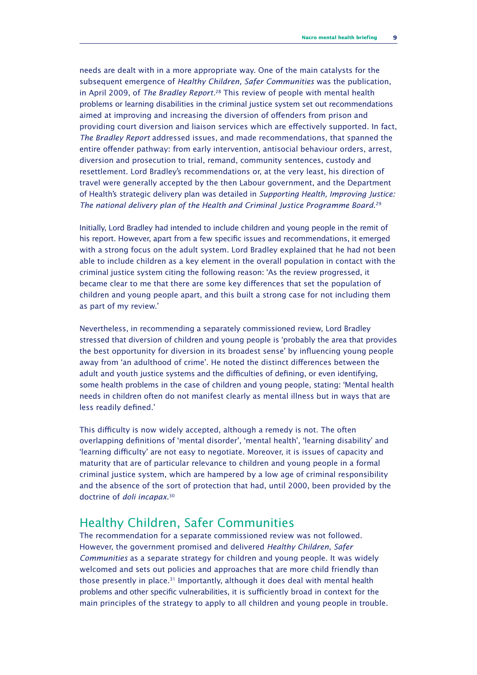needs are dealt with in a more appropriate way. One of the main catalysts for the subsequent emergence of *Healthy Children, Safer Communities* was the publication, in April 2009, of *The Bradley Report.*<sup>28</sup> This review of people with mental health problems or learning disabilities in the criminal justice system set out recommendations aimed at improving and increasing the diversion of offenders from prison and providing court diversion and liaison services which are effectively supported. In fact, *The Bradley Report* addressed issues, and made recommendations, that spanned the entire offender pathway: from early intervention, antisocial behaviour orders, arrest, diversion and prosecution to trial, remand, community sentences, custody and resettlement. Lord Bradley's recommendations or, at the very least, his direction of travel were generally accepted by the then Labour government, and the Department of Health's strategic delivery plan was detailed in *Supporting Health, Improving Justice: The national delivery plan of the Health and Criminal Justice Programme Board*. 29

Initially, Lord Bradley had intended to include children and young people in the remit of his report. However, apart from a few specific issues and recommendations, it emerged with a strong focus on the adult system. Lord Bradley explained that he had not been able to include children as a key element in the overall population in contact with the criminal justice system citing the following reason: 'As the review progressed, it became clear to me that there are some key differences that set the population of children and young people apart, and this built a strong case for not including them as part of my review.'

Nevertheless, in recommending a separately commissioned review, Lord Bradley stressed that diversion of children and young people is 'probably the area that provides the best opportunity for diversion in its broadest sense' by influencing young people away from 'an adulthood of crime'. He noted the distinct differences between the adult and youth justice systems and the difficulties of defining, or even identifying, some health problems in the case of children and young people, stating: 'Mental health needs in children often do not manifest clearly as mental illness but in ways that are less readily defined.'

This difficulty is now widely accepted, although a remedy is not. The often overlapping definitions of 'mental disorder', 'mental health', 'learning disability' and 'learning difficulty' are not easy to negotiate. Moreover, it is issues of capacity and maturity that are of particular relevance to children and young people in a formal criminal justice system, which are hampered by a low age of criminal responsibility and the absence of the sort of protection that had, until 2000, been provided by the doctrine of *doli incapax*. 30

## Healthy Children, Safer Communities

The recommendation for a separate commissioned review was not followed. However, the government promised and delivered *Healthy Children, Safer Communities* as a separate strategy for children and young people. It was widely welcomed and sets out policies and approaches that are more child friendly than those presently in place.<sup>31</sup> Importantly, although it does deal with mental health problems and other specific vulnerabilities, it is sufficiently broad in context for the main principles of the strategy to apply to all children and young people in trouble.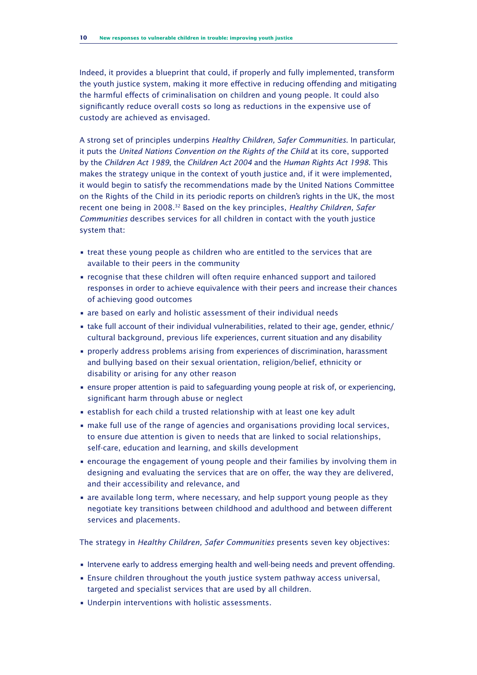Indeed, it provides a blueprint that could, if properly and fully implemented, transform the youth justice system, making it more effective in reducing offending and mitigating the harmful effects of criminalisation on children and young people. It could also significantly reduce overall costs so long as reductions in the expensive use of custody are achieved as envisaged.

A strong set of principles underpins *Healthy Children, Safer Communities*. In particular, it puts the *United Nations Convention on the Rights of the Child* at its core, supported by the *Children Act 1989*, the *Children Act 2004* and the *Human Rights Act 1998*. This makes the strategy unique in the context of youth justice and, if it were implemented, it would begin to satisfy the recommendations made by the United Nations Committee on the Rights of the Child in its periodic reports on children's rights in the UK, the most recent one being in 2008.<sup>32</sup> Based on the key principles, *Healthy Children, Safer Communities* describes services for all children in contact with the youth justice system that:

- treat these young people as children who are entitled to the services that are available to their peers in the community
- recognise that these children will often require enhanced support and tailored responses in order to achieve equivalence with their peers and increase their chances of achieving good outcomes
- are based on early and holistic assessment of their individual needs
- take full account of their individual vulnerabilities, related to their age, gender, ethnic/ cultural background, previous life experiences, current situation and any disability
- properly address problems arising from experiences of discrimination, harassment and bullying based on their sexual orientation, religion/belief, ethnicity or disability or arising for any other reason
- ensure proper attention is paid to safeguarding young people at risk of, or experiencing, significant harm through abuse or neglect
- establish for each child a trusted relationship with at least one key adult
- make full use of the range of agencies and organisations providing local services, to ensure due attention is given to needs that are linked to social relationships, self-care, education and learning, and skills development
- encourage the engagement of young people and their families by involving them in designing and evaluating the services that are on offer, the way they are delivered, and their accessibility and relevance, and
- are available long term, where necessary, and help support young people as they negotiate key transitions between childhood and adulthood and between different services and placements.

The strategy in *Healthy Children, Safer Communities* presents seven key objectives:

- Intervene early to address emerging health and well-being needs and prevent offending.
- Ensure children throughout the youth justice system pathway access universal, targeted and specialist services that are used by all children.
- Underpin interventions with holistic assessments.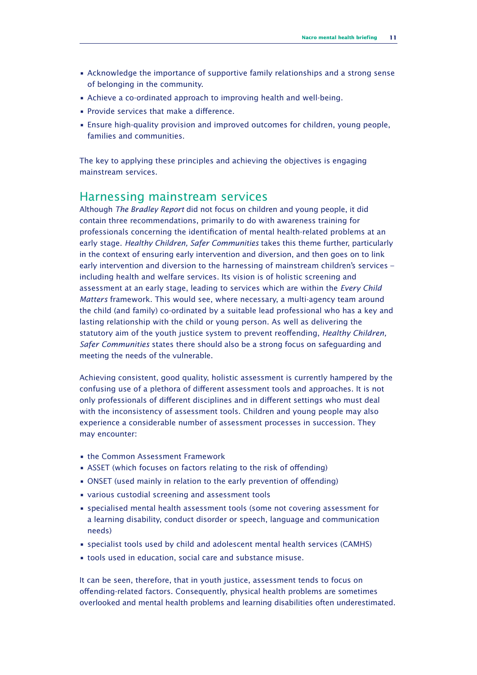- Acknowledge the importance of supportive family relationships and a strong sense of belonging in the community.
- Achieve a co-ordinated approach to improving health and well-being.
- Provide services that make a difference.
- Ensure high-quality provision and improved outcomes for children, young people, families and communities.

The key to applying these principles and achieving the objectives is engaging mainstream services.

#### Harnessing mainstream services

Although *The Bradley Report* did not focus on children and young people, it did contain three recommendations, primarily to do with awareness training for professionals concerning the identification of mental health-related problems at an early stage. *Healthy Children, Safer Communities* takes this theme further, particularly in the context of ensuring early intervention and diversion, and then goes on to link early intervention and diversion to the harnessing of mainstream children's services – including health and welfare services. Its vision is of holistic screening and assessment at an early stage, leading to services which are within the *Every Child Matters* framework. This would see, where necessary, a multi-agency team around the child (and family) co-ordinated by a suitable lead professional who has a key and lasting relationship with the child or young person. As well as delivering the statutory aim of the youth justice system to prevent reoffending, *Healthy Children, Safer Communities* states there should also be a strong focus on safeguarding and meeting the needs of the vulnerable.

Achieving consistent, good quality, holistic assessment is currently hampered by the confusing use of a plethora of different assessment tools and approaches. It is not only professionals of different disciplines and in different settings who must deal with the inconsistency of assessment tools. Children and young people may also experience a considerable number of assessment processes in succession. They may encounter:

- the Common Assessment Framework
- ASSET (which focuses on factors relating to the risk of offending)
- ONSET (used mainly in relation to the early prevention of offending)
- various custodial screening and assessment tools
- specialised mental health assessment tools (some not covering assessment for a learning disability, conduct disorder or speech, language and communication needs)
- specialist tools used by child and adolescent mental health services (CAMHS)
- tools used in education, social care and substance misuse.

It can be seen, therefore, that in youth justice, assessment tends to focus on offending-related factors. Consequently, physical health problems are sometimes overlooked and mental health problems and learning disabilities often underestimated.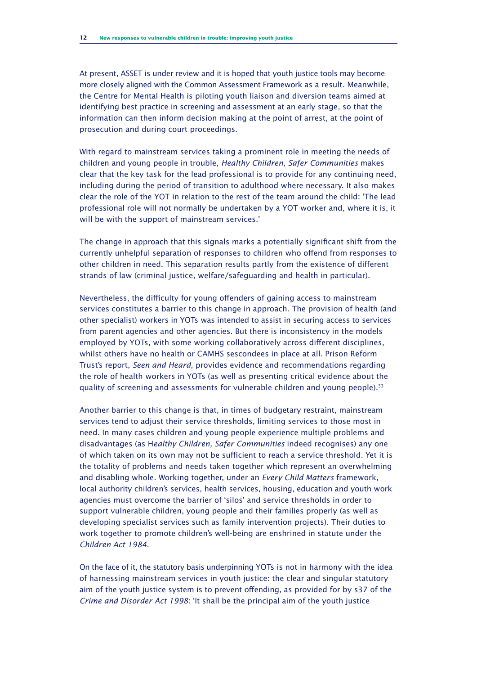At present, ASSET is under review and it is hoped that youth justice tools may become more closely aligned with the Common Assessment Framework as a result. Meanwhile, the Centre for Mental Health is piloting youth liaison and diversion teams aimed at identifying best practice in screening and assessment at an early stage, so that the information can then inform decision making at the point of arrest, at the point of prosecution and during court proceedings.

With regard to mainstream services taking a prominent role in meeting the needs of children and young people in trouble, *Healthy Children, Safer Communities* makes clear that the key task for the lead professional is to provide for any continuing need, including during the period of transition to adulthood where necessary. It also makes clear the role of the YOT in relation to the rest of the team around the child: 'The lead professional role will not normally be undertaken by a YOT worker and, where it is, it will be with the support of mainstream services.'

The change in approach that this signals marks a potentially significant shift from the currently unhelpful separation of responses to children who offend from responses to other children in need. This separation results partly from the existence of different strands of law (criminal justice, welfare/safeguarding and health in particular).

Nevertheless, the difficulty for young offenders of gaining access to mainstream services constitutes a barrier to this change in approach. The provision of health (and other specialist) workers in YOTs was intended to assist in securing access to services from parent agencies and other agencies. But there is inconsistency in the models employed by YOTs, with some working collaboratively across different disciplines, whilst others have no health or CAMHS sescondees in place at all. Prison Reform Trust's report, *Seen and Heard*, provides evidence and recommendations regarding the role of health workers in YOTs (as well as presenting critical evidence about the quality of screening and assessments for vulnerable children and young people). $33$ 

Another barrier to this change is that, in times of budgetary restraint, mainstream services tend to adjust their service thresholds, limiting services to those most in need. In many cases children and young people experience multiple problems and disadvantages (as H*ealthy Children, Safer Communities* indeed recognises) any one of which taken on its own may not be sufficient to reach a service threshold. Yet it is the totality of problems and needs taken together which represent an overwhelming and disabling whole. Working together, under an *Every Child Matters* framework, local authority children's services, health services, housing, education and youth work agencies must overcome the barrier of 'silos' and service thresholds in order to support vulnerable children, young people and their families properly (as well as developing specialist services such as family intervention projects). Their duties to work together to promote children's well-being are enshrined in statute under the *Children Act 1984*.

On the face of it, the statutory basis underpinning YOTs is not in harmony with the idea of harnessing mainstream services in youth justice: the clear and singular statutory aim of the youth justice system is to prevent offending, as provided for by s37 of the *Crime and Disorder Act 1998*: 'It shall be the principal aim of the youth justice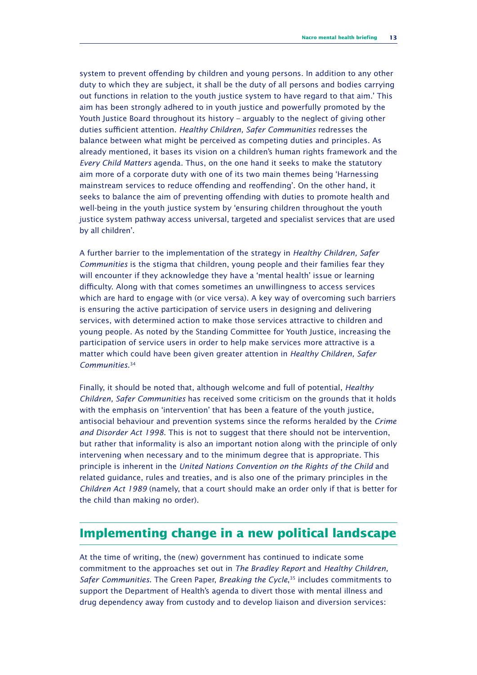system to prevent offending by children and young persons. In addition to any other duty to which they are subject, it shall be the duty of all persons and bodies carrying out functions in relation to the youth justice system to have regard to that aim.' This aim has been strongly adhered to in youth justice and powerfully promoted by the Youth Justice Board throughout its history – arguably to the neglect of giving other duties sufficient attention. *Healthy Children, Safer Communities* redresses the balance between what might be perceived as competing duties and principles. As already mentioned, it bases its vision on a children's human rights framework and the *Every Child Matters* agenda. Thus, on the one hand it seeks to make the statutory aim more of a corporate duty with one of its two main themes being 'Harnessing mainstream services to reduce offending and reoffending'. On the other hand, it seeks to balance the aim of preventing offending with duties to promote health and well-being in the youth justice system by 'ensuring children throughout the youth justice system pathway access universal, targeted and specialist services that are used by all children'.

A further barrier to the implementation of the strategy in *Healthy Children, Safer Communities* is the stigma that children, young people and their families fear they will encounter if they acknowledge they have a 'mental health' issue or learning difficulty. Along with that comes sometimes an unwillingness to access services which are hard to engage with (or vice versa). A key way of overcoming such barriers is ensuring the active participation of service users in designing and delivering services, with determined action to make those services attractive to children and young people. As noted by the Standing Committee for Youth Justice, increasing the participation of service users in order to help make services more attractive is a matter which could have been given greater attention in *Healthy Children, Safer Communities*. 34

Finally, it should be noted that, although welcome and full of potential, *Healthy Children, Safer Communities* has received some criticism on the grounds that it holds with the emphasis on 'intervention' that has been a feature of the youth justice, antisocial behaviour and prevention systems since the reforms heralded by the *Crime and Disorder Act 1998*. This is not to suggest that there should not be intervention, but rather that informality is also an important notion along with the principle of only intervening when necessary and to the minimum degree that is appropriate. This principle is inherent in the *United Nations Convention on the Rights of the Child* and related guidance, rules and treaties, and is also one of the primary principles in the *Children Act 1989* (namely, that a court should make an order only if that is better for the child than making no order).

## **Implementing change in a new political landscape**

At the time of writing, the (new) government has continued to indicate some commitment to the approaches set out in *The Bradley Report* and *Healthy Children, Safer Communities*. The Green Paper, *Breaking the Cycle*, <sup>35</sup> includes commitments to support the Department of Health's agenda to divert those with mental illness and drug dependency away from custody and to develop liaison and diversion services: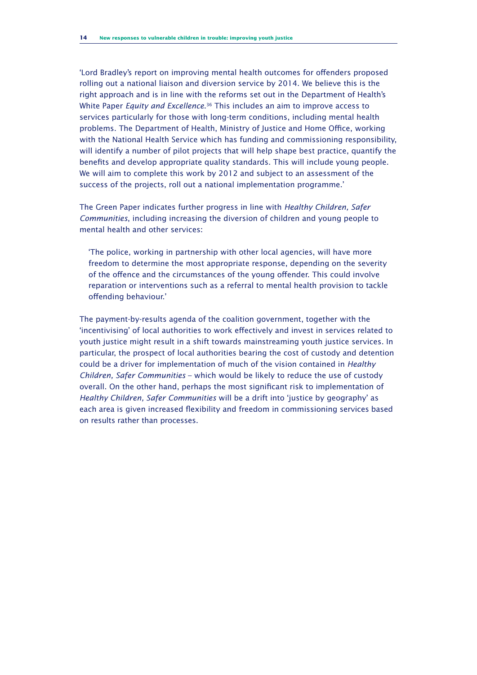'Lord Bradley's report on improving mental health outcomes for offenders proposed rolling out a national liaison and diversion service by 2014. We believe this is the right approach and is in line with the reforms set out in the Department of Health's White Paper *Equity and Excellence*. <sup>36</sup> This includes an aim to improve access to services particularly for those with long-term conditions, including mental health problems. The Department of Health, Ministry of Justice and Home Office, working with the National Health Service which has funding and commissioning responsibility, will identify a number of pilot projects that will help shape best practice, quantify the benefits and develop appropriate quality standards. This will include young people. We will aim to complete this work by 2012 and subject to an assessment of the success of the projects, roll out a national implementation programme.'

The Green Paper indicates further progress in line with *Healthy Children, Safer Communities*, including increasing the diversion of children and young people to mental health and other services:

'The police, working in partnership with other local agencies, will have more freedom to determine the most appropriate response, depending on the severity of the offence and the circumstances of the young offender. This could involve reparation or interventions such as a referral to mental health provision to tackle offending behaviour.'

The payment-by-results agenda of the coalition government, together with the 'incentivising' of local authorities to work effectively and invest in services related to youth justice might result in a shift towards mainstreaming youth justice services. In particular, the prospect of local authorities bearing the cost of custody and detention could be a driver for implementation of much of the vision contained in *Healthy Children, Safer Communities* – which would be likely to reduce the use of custody overall. On the other hand, perhaps the most significant risk to implementation of *Healthy Children, Safer Communities* will be a drift into 'justice by geography' as each area is given increased flexibility and freedom in commissioning services based on results rather than processes.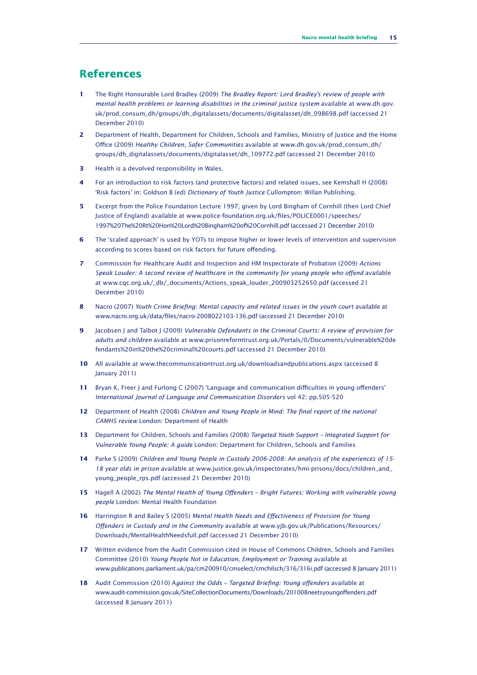#### **References**

- **1** The Right Honourable Lord Bradley (2009) *The Bradley Report: Lord Bradley's review of people with mental health problems or learning disabilities in the criminal justice system* available at www.dh.gov. uk/prod\_consum\_dh/groups/dh\_digitalassets/documents/digitalasset/dh\_098698.pdf (accessed 21 December 2010)
- **2** Department of Health, Department for Children, Schools and Families, Ministry of Justice and the Home Office (2009) *Healthy Children, Safer Communities* available at www.dh.gov.uk/prod\_consum\_dh/ groups/dh\_digitalassets/documents/digitalasset/dh\_109772.pdf (accessed 21 December 2010)
- **3** Health is a devolved responsibility in Wales.
- **4** For an introduction to risk factors (and protective factors) and related issues, see Kemshall H (2008) 'Risk factors' in: Goldson B (ed) *Dictionary of Youth Justice* Cullompton: Willan Publishing.
- **5** Excerpt from the Police Foundation Lecture 1997, given by Lord Bingham of Cornhill (then Lord Chief Justice of England) available at www.police-foundation.org.uk/files/POLICE0001/speeches/ 1997%20The%20Rt%20Hon%20Lord%20Bingham%20of%20Cornhill.pdf (accessed 21 December 2010)
- **6** The 'scaled approach' is used by YOTs to impose higher or lower levels of intervention and supervision according to scores based on risk factors for future offending.
- **7** Commission for Healthcare Audit and Inspection and HM Inspectorate of Probation (2009) *Actions Speak Louder: A second review of healthcare in the community for young people who offend* available at www.cqc.org.uk/\_db/\_documents/Actions\_speak\_louder\_200903252650.pdf (accessed 21 December 2010)
- **8** Nacro (2007) *Youth Crime Briefing: Mental capacity and related issues in the youth court* available at www.nacro.org.uk/data/files/nacro-2008022103-136.pdf (accessed 21 December 2010)
- **9** Jacobsen J and Talbot J (2009) *Vulnerable Defendants in the Criminal Courts: A review of provision for adults and children* available at www.prisonreformtrust.org.uk/Portals/0/Documents/vulnerable%20de fendants%20in%20the%20criminal%20courts.pdf (accessed 21 December 2010)
- **10** All available at www.thecommunicationtrust.org.uk/downloadsandpublications.aspx (accessed 8 January 2011)
- **11** Bryan K, Freer J and Furlong C (2007) 'Language and communication difficulties in young offenders' *International Journal of Language and Communication Disorders* vol 42: pp.505-520
- **12** Department of Health (2008) *Children and Young People in Mind: The final report of the national CAMHS review* London: Department of Health
- **13** Department for Children, Schools and Families (2008) *Targeted Youth Support Integrated Support for Vulnerable Young People: A guide* London: Department for Children, Schools and Families
- **14** Parke S (2009) *Children and Young People in Custody 2006-2008: An analysis of the experiences of 15- 18 year olds in prison* available at www.justice.gov.uk/inspectorates/hmi-prisons/docs/children\_and\_ young\_people\_rps.pdf (accessed 21 December 2010)
- **15** Hagell A (2002) *The Mental Health of Young Offenders Bright Futures: Working with vulnerable young people* London: Mental Health Foundation
- **16** Harrington R and Bailey S (2005) *Mental Health Needs and Effectiveness of Provision for Young Offenders in Custody and in the Community* available at www.yjb.gov.uk/Publications/Resources/ Downloads/MentalHealthNeedsfull.pdf (accessed 21 December 2010)
- **17** Written evidence from the Audit Commission cited in House of Commons Children, Schools and Families Committee (2010) *Young People Not in Education, Employment or Training* available at www.publications.parliament.uk/pa/cm200910/cmselect/cmchilsch/316/316i.pdf (accessed 8 January 2011)
- **18** Audit Commission (2010) A*gainst the Odds Targeted Briefing: Young offenders* available at www.audit-commission.gov.uk/SiteCollectionDocuments/Downloads/201008neetsyoungoffenders.pdf (accessed 8 January 2011)